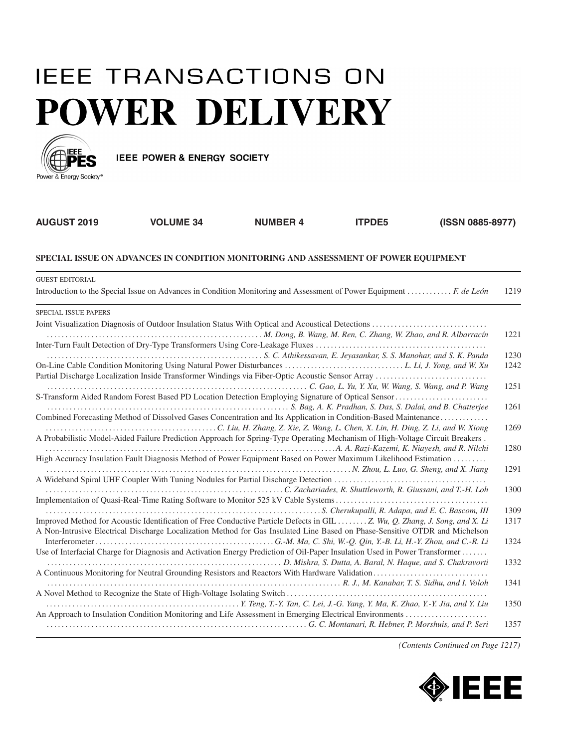## **IEEE TRANSACTIONS ON POWER DELIVERY**



**IEEE POWER & ENERGY SOCIETY** 

| <b>AUGUST 2019</b>                                                                  | <b>VOLUME 34</b>                                                                                                                                                                                                                                           | <b>NUMBER 4</b> | <b>ITPDE5</b> | (ISSN 0885-8977) |              |  |
|-------------------------------------------------------------------------------------|------------------------------------------------------------------------------------------------------------------------------------------------------------------------------------------------------------------------------------------------------------|-----------------|---------------|------------------|--------------|--|
| SPECIAL ISSUE ON ADVANCES IN CONDITION MONITORING AND ASSESSMENT OF POWER EQUIPMENT |                                                                                                                                                                                                                                                            |                 |               |                  |              |  |
| <b>GUEST EDITORIAL</b>                                                              | Introduction to the Special Issue on Advances in Condition Monitoring and Assessment of Power Equipment  F. de León                                                                                                                                        |                 |               |                  | 1219         |  |
| <b>SPECIAL ISSUE PAPERS</b>                                                         |                                                                                                                                                                                                                                                            |                 |               |                  |              |  |
|                                                                                     |                                                                                                                                                                                                                                                            |                 |               |                  | 1221         |  |
|                                                                                     |                                                                                                                                                                                                                                                            |                 |               |                  | 1230<br>1242 |  |
|                                                                                     | S-Transform Aided Random Forest Based PD Location Detection Employing Signature of Optical Sensor                                                                                                                                                          |                 |               |                  | 1251         |  |
|                                                                                     | Combined Forecasting Method of Dissolved Gases Concentration and Its Application in Condition-Based Maintenance                                                                                                                                            |                 |               |                  | 1261         |  |
|                                                                                     | A Probabilistic Model-Aided Failure Prediction Approach for Spring-Type Operating Mechanism of High-Voltage Circuit Breakers.                                                                                                                              |                 |               |                  | 1269         |  |
|                                                                                     | High Accuracy Insulation Fault Diagnosis Method of Power Equipment Based on Power Maximum Likelihood Estimation<br>N. Zhou, L. Luo, G. Sheng, and X. Jiang                                                                                                 |                 |               |                  | 1280<br>1291 |  |
|                                                                                     |                                                                                                                                                                                                                                                            |                 |               |                  | 1300         |  |
|                                                                                     |                                                                                                                                                                                                                                                            |                 |               |                  | 1309         |  |
|                                                                                     | Improved Method for Acoustic Identification of Free Conductive Particle Defects in GIL  Z. Wu, Q. Zhang, J. Song, and X. Li<br>A Non-Intrusive Electrical Discharge Localization Method for Gas Insulated Line Based on Phase-Sensitive OTDR and Michelson |                 |               |                  | 1317         |  |
|                                                                                     | Use of Interfacial Charge for Diagnosis and Activation Energy Prediction of Oil-Paper Insulation Used in Power Transformer                                                                                                                                 |                 |               |                  | 1324         |  |
|                                                                                     | D. Mishra, S. Dutta, A. Baral, N. Haque, and S. Chakravorti                                                                                                                                                                                                |                 |               |                  | 1332         |  |
|                                                                                     | resources and the U.S. Science of the U.S. Science of the U.S. Science of the U.S. Science of the U.S. Sidhu, and I. Voloh                                                                                                                                 |                 |               |                  | 1341<br>1350 |  |
|                                                                                     | An Approach to Insulation Condition Monitoring and Life Assessment in Emerging Electrical Environments                                                                                                                                                     |                 |               |                  | 1357         |  |
|                                                                                     |                                                                                                                                                                                                                                                            |                 |               |                  |              |  |

*(Contents Continued on Page 1217)*

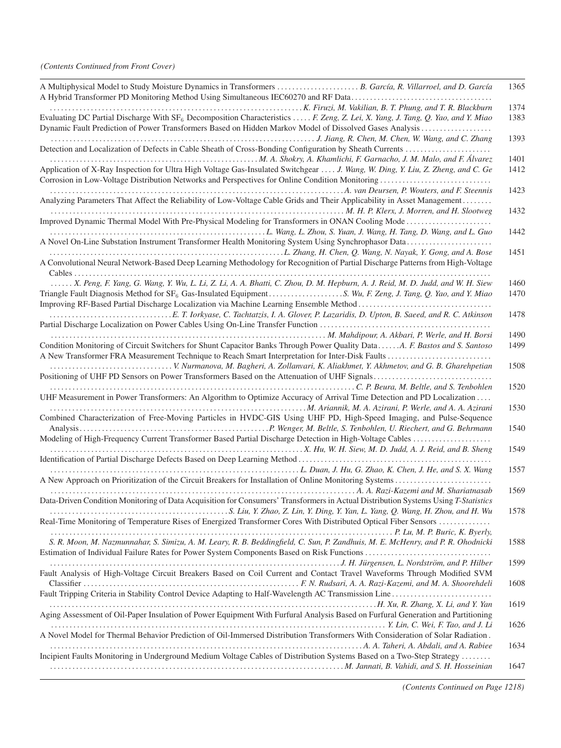## *(Contents Continued from Front Cover)*

| A Multiphysical Model to Study Moisture Dynamics in Transformers  B. García, R. Villarroel, and D. García                                  | 1365 |
|--------------------------------------------------------------------------------------------------------------------------------------------|------|
|                                                                                                                                            | 1374 |
| Evaluating DC Partial Discharge With SF <sub>6</sub> Decomposition Characteristics  F. Zeng, Z. Lei, X. Yang, J. Tang, Q. Yao, and Y. Miao | 1383 |
|                                                                                                                                            |      |
| Dynamic Fault Prediction of Power Transformers Based on Hidden Markov Model of Dissolved Gases Analysis                                    |      |
|                                                                                                                                            | 1393 |
| Detection and Localization of Defects in Cable Sheath of Cross-Bonding Configuration by Sheath Currents                                    |      |
| M. A. Shokry, A. Khamlichi, F. Garnacho, J. M. Malo, and F. Álvarez                                                                        | 1401 |
| Application of X-Ray Inspection for Ultra High Voltage Gas-Insulated Switchgear  J. Wang, W. Ding, Y. Liu, Z. Zheng, and C. Ge             | 1412 |
| Corrosion in Low-Voltage Distribution Networks and Perspectives for Online Condition Monitoring                                            |      |
|                                                                                                                                            | 1423 |
| Analyzing Parameters That Affect the Reliability of Low-Voltage Cable Grids and Their Applicability in Asset Management                    |      |
|                                                                                                                                            | 1432 |
| Improved Dynamic Thermal Model With Pre-Physical Modeling for Transformers in ONAN Cooling Mode                                            |      |
|                                                                                                                                            |      |
|                                                                                                                                            | 1442 |
| A Novel On-Line Substation Instrument Transformer Health Monitoring System Using Synchrophasor Data                                        |      |
|                                                                                                                                            | 1451 |
| A Convolutional Neural Network-Based Deep Learning Methodology for Recognition of Partial Discharge Patterns from High-Voltage             |      |
|                                                                                                                                            |      |
| X. Peng, F. Yang, G. Wang, Y. Wu, L. Li, Z. Li, A. A. Bhatti, C. Zhou, D. M. Hepburn, A. J. Reid, M. D. Judd, and W. H. Siew               | 1460 |
|                                                                                                                                            | 1470 |
|                                                                                                                                            |      |
|                                                                                                                                            | 1478 |
|                                                                                                                                            |      |
|                                                                                                                                            |      |
| M. Mahdipour, A. Akbari, P. Werle, and H. Borsi                                                                                            | 1490 |
| Condition Monitoring of Circuit Switchers for Shunt Capacitor Banks Through Power Quality DataA. F. Bastos and S. Santoso                  | 1499 |
|                                                                                                                                            |      |
|                                                                                                                                            | 1508 |
| Positioning of UHF PD Sensors on Power Transformers Based on the Attenuation of UHF Signals                                                |      |
| C. P. Beura, M. Beltle, and S. Tenbohlen (S. Tenbohlen)                                                                                    | 1520 |
| UHF Measurement in Power Transformers: An Algorithm to Optimize Accuracy of Arrival Time Detection and PD Localization                     |      |
|                                                                                                                                            | 1530 |
| Combined Characterization of Free-Moving Particles in HVDC-GIS Using UHF PD, High-Speed Imaging, and Pulse-Sequence                        |      |
|                                                                                                                                            | 1540 |
|                                                                                                                                            |      |
| Modeling of High-Frequency Current Transformer Based Partial Discharge Detection in High-Voltage Cables                                    |      |
|                                                                                                                                            | 1549 |
|                                                                                                                                            |      |
|                                                                                                                                            | 1557 |
|                                                                                                                                            |      |
|                                                                                                                                            | 1569 |
| Data-Driven Condition Monitoring of Data Acquisition for Consumers' Transformers in Actual Distribution Systems Using T-Statistics         |      |
|                                                                                                                                            | 1578 |
| Real-Time Monitoring of Temperature Rises of Energized Transformer Cores With Distributed Optical Fiber Sensors                            |      |
|                                                                                                                                            |      |
|                                                                                                                                            |      |
| S. R. Moon, M. Nazmunnahar, S. Simizu, A. M. Leary, R. B. Beddingfield, C. Sun, P. Zandhuis, M. E. McHenry, and P. R. Ohodnicki            | 1588 |
|                                                                                                                                            |      |
|                                                                                                                                            | 1599 |
| Fault Analysis of High-Voltage Circuit Breakers Based on Coil Current and Contact Travel Waveforms Through Modified SVM                    |      |
|                                                                                                                                            | 1608 |
|                                                                                                                                            |      |
|                                                                                                                                            | 1619 |
| Aging Assessment of Oil-Paper Insulation of Power Equipment With Furfural Analysis Based on Furfural Generation and Partitioning           |      |
|                                                                                                                                            | 1626 |
|                                                                                                                                            |      |
| A Novel Model for Thermal Behavior Prediction of Oil-Immersed Distribution Transformers With Consideration of Solar Radiation.             |      |
|                                                                                                                                            | 1634 |
| Incipient Faults Monitoring in Underground Medium Voltage Cables of Distribution Systems Based on a Two-Step Strategy                      |      |
| M. Jannati, B. Vahidi, and S. H. Hosseinian (S. H. Hosseinian (S. H. Hosseinian (S. H. Hosseinian                                          | 1647 |
|                                                                                                                                            |      |

*(Contents Continued on Page 1218)*